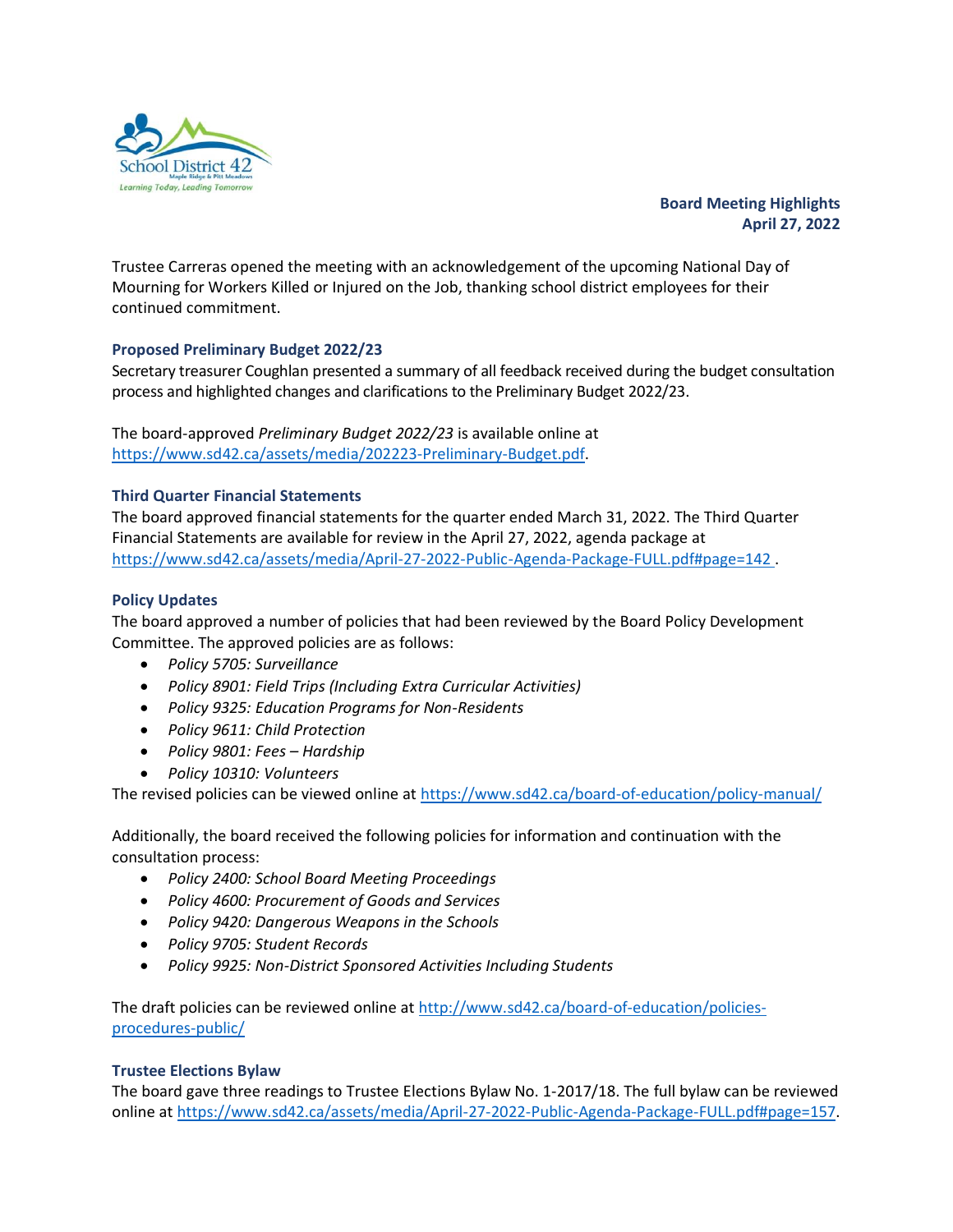

**Board Meeting Highlights April 27, 2022**

Trustee Carreras opened the meeting with an acknowledgement of the upcoming National Day of Mourning for Workers Killed or Injured on the Job, thanking school district employees for their continued commitment.

# **Proposed Preliminary Budget 2022/23**

Secretary treasurer Coughlan presented a summary of all feedback received during the budget consultation process and highlighted changes and clarifications to the Preliminary Budget 2022/23.

The board-approved *Preliminary Budget 2022/23* is available online at [https://www.sd42.ca/assets/media/202223-Preliminary-Budget.pdf.](https://www.sd42.ca/assets/media/202223-Preliminary-Budget.pdf)

## **Third Quarter Financial Statements**

The board approved financial statements for the quarter ended March 31, 2022. The Third Quarter Financial Statements are available for review in the April 27, 2022, agenda package at <https://www.sd42.ca/assets/media/April-27-2022-Public-Agenda-Package-FULL.pdf#page=142> .

## **Policy Updates**

The board approved a number of policies that had been reviewed by the Board Policy Development Committee. The approved policies are as follows:

- *Policy 5705: Surveillance*
- *Policy 8901: Field Trips (Including Extra Curricular Activities)*
- *Policy 9325: Education Programs for Non-Residents*
- *Policy 9611: Child Protection*
- *Policy 9801: Fees – Hardship*
- *Policy 10310: Volunteers*

The revised policies can be viewed online at<https://www.sd42.ca/board-of-education/policy-manual/>

Additionally, the board received the following policies for information and continuation with the consultation process:

- *Policy 2400: School Board Meeting Proceedings*
- *Policy 4600: Procurement of Goods and Services*
- *Policy 9420: Dangerous Weapons in the Schools*
- *Policy 9705: Student Records*
- *Policy 9925: Non-District Sponsored Activities Including Students*

The draft policies can be reviewed online at [http://www.sd42.ca/board-of-education/policies](http://www.sd42.ca/board-of-education/policies-procedures-public/)[procedures-public/](http://www.sd42.ca/board-of-education/policies-procedures-public/)

## **Trustee Elections Bylaw**

The board gave three readings to Trustee Elections Bylaw No. 1-2017/18. The full bylaw can be reviewed online at [https://www.sd42.ca/assets/media/April-27-2022-Public-Agenda-Package-FULL.pdf#page=157.](https://www.sd42.ca/assets/media/April-27-2022-Public-Agenda-Package-FULL.pdf#page=157)